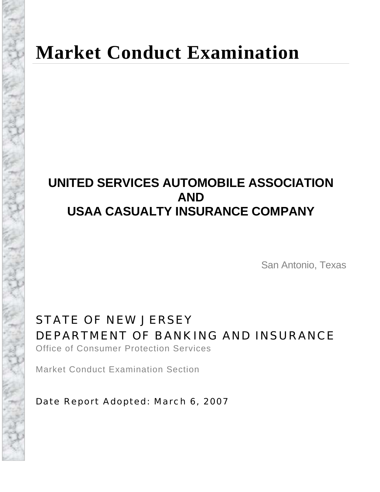# **Market Conduct Examination**

# **UNITED SERVICES AUTOMOBILE ASSOCIATION AND USAA CASUALTY INSURANCE COMPANY**

San Antonio, Texas

STATE OF NEW JERSEY DEPARTMENT OF BANKING AND INSURANCE Office of Consumer Protection Services

Market Conduct Examination Section

Date Report Adopted: March 6, 2007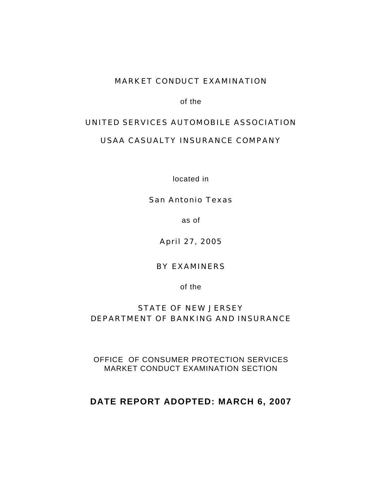#### MARKET CONDUCT EXAMINATION

of the

#### UNITED SERVICES AUTOMOBILE ASSOCIATION

#### USAA CASUALTY INSURANCE COMPANY

located in

#### San Antonio Texas

as of

April 27, 2005

#### BY EXAMINERS

of the

### STATE OF NEW JERSEY DEPARTMENT OF BANKING AND INSURANCE

OFFICE OF CONSUMER PROTECTION SERVICES MARKET CONDUCT EXAMINATION SECTION

### **DATE REPORT ADOPTED: MARCH 6, 2007**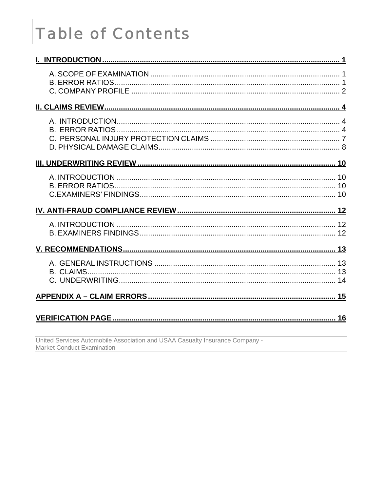# **Table of Contents**

| United Services Automobile Association and USAA Casualty Insurance Company - |
|------------------------------------------------------------------------------|

**Market Conduct Examination**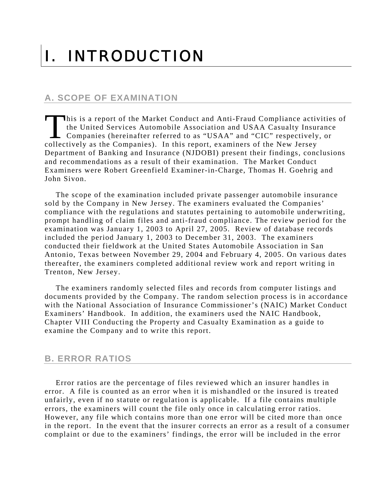# <span id="page-3-0"></span>I. INTRODUCTION

### **A. SCOPE OF EXAMINATION**

his is a report of the Market Conduct and Anti-Fraud Compliance activities of the United Services Automobile Association and USAA Casualty Insurance Companies (hereinafter referred to as "USAA" and "CIC" respectively, or This is a report of the Market Conduct and Anti-Fraud Compliance actively the United Services Automobile Association and USAA Casualty Insur<br>Companies (hereinafter referred to as "USAA" and "CIC" respectively collectively Department of Banking and Insurance (NJDOBI) present their findings, conclusions and recommendations as a result of their examination. The Market Conduct Examiners were Robert Greenfield Examiner-in-Charge, Thomas H. Goehrig and John Sivon.

The scope of the examination included private passenger automobile insurance sold by the Company in New Jersey. The examiners evaluated the Companies' compliance with the regulations and statutes pertaining to automobile underwriting, prompt handling of claim files and anti-fraud compliance. The review period for the examination was January 1, 2003 to April 27, 2005. Review of database records included the period January 1, 2003 to December 31, 2003. The examiners conducted their fieldwork at the United States Automobile Association in San Antonio, Texas between November 29, 2004 and February 4, 2005. On various dates thereafter, the examiners completed additional review work and report writing in Trenton, New Jersey.

The examiners randomly selected files and records from computer listings and documents provided by the Company. The random selection process is in accordance with the National Association of Insurance Commissioner's (NAIC) Market Conduct Examiners' Handbook. In addition, the examiners used the NAIC Handbook, Chapter VIII Conducting the Property and Casualty Examination as a guide to examine the Company and to write this report.

#### **B. ERROR RATIOS**

Error ratios are the percentage of files reviewed which an insurer handles in error. A file is counted as an error when it is mishandled or the insured is treated unfairly, even if no statute or regulation is applicable. If a file contains multiple errors, the examiners will count the file only once in calculating error ratios. However, any file which contains more than one error will be cited more than once in the report. In the event that the insurer corrects an error as a result of a consumer complaint or due to the examiners' findings, the error will be included in the error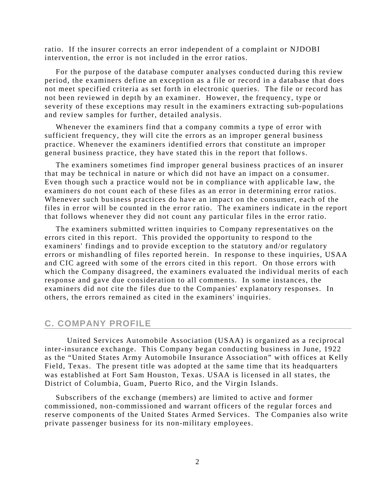<span id="page-4-0"></span>ratio. If the insurer corrects an error independent of a complaint or NJDOBI intervention, the error is not included in the error ratios.

For the purpose of the database computer analyses conducted during this review period, the examiners define an exception as a file or record in a database that does not meet specified criteria as set forth in electronic queries. The file or record has not been reviewed in depth by an examiner. However, the frequency, type or severity of these exceptions may result in the examiners extracting sub-populations and review samples for further, detailed analysis.

Whenever the examiners find that a company commits a type of error with sufficient frequency, they will cite the errors as an improper general business practice. Whenever the examiners identified errors that constitute an improper general business practice, they have stated this in the report that follows.

The examiners sometimes find improper general business practices of an insurer that may be technical in nature or which did not have an impact on a consumer. Even though such a practice would not be in compliance with applicable law, the examiners do not count each of these files as an error in determining error ratios. Whenever such business practices do have an impact on the consumer, each of the files in error will be counted in the error ratio. The examiners indicate in the report that follows whenever they did not count any particular files in the error ratio.

The examiners submitted written inquiries to Company representatives on the errors cited in this report. This provided the opportunity to respond to the examiners' findings and to provide exception to the statutory and/or regulatory errors or mishandling of files reported herein. In response to these inquiries, USAA and CIC agreed with some of the errors cited in this report. On those errors with which the Company disagreed, the examiners evaluated the individual merits of each response and gave due consideration to all comments. In some instances, the examiners did not cite the files due to the Companies' explanatory responses. In others, the errors remained as cited in the examiners' inquiries.

#### **C. COMPANY PROFILE**

United Services Automobile Association (USAA) is organized as a reciprocal inter-insurance exchange. This Company began conducting business in June, 1922 as the "United States Army Automobile Insurance Association" with offices at Kelly Field, Texas. The present title was adopted at the same time that its headquarters was established at Fort Sam Houston, Texas. USAA is licensed in all states, the District of Columbia, Guam, Puerto Rico, and the Virgin Islands.

Subscribers of the exchange (members) are limited to active and former commissioned, non-commissioned and warrant officers of the regular forces and reserve components of the United States Armed Services. The Companies also write private passenger business for its non-military employees.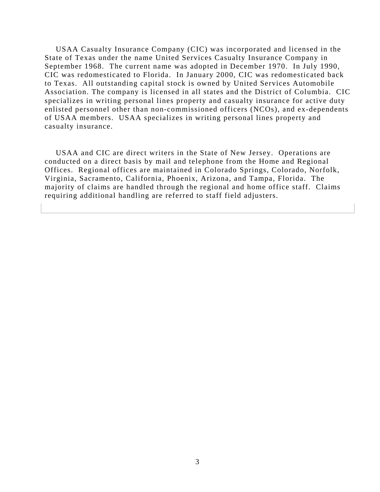USAA Casualty Insurance Company (CIC) was incorporated and licensed in the State of Texas under the name United Services Casualty Insurance Company in September 1968. The current name was adopted in December 1970. In July 1990, CIC was redomesticated to Florida. In January 2000, CIC was redomesticated back to Texas. All outstanding capital stock is owned by United Services Automobile Association. The company is licensed in all states and the District of Columbia. CIC specializes in writing personal lines property and casualty insurance for active duty enlisted personnel other than non-commissioned officers (NCOs), and ex-dependents of USAA members. USAA specializes in writing personal lines property and casualty insurance.

USAA and CIC are direct writers in the State of New Jersey. Operations are conducted on a direct basis by mail and telephone from the Home and Regional Offices. Regional offices are maintained in Colorado Springs, Colorado, Norfolk, Virginia, Sacramento, California, Phoenix, Arizona, and Tampa, Florida. The majority of claims are handled through the regional and home office staff. Claims requiring additional handling are referred to staff field adjusters.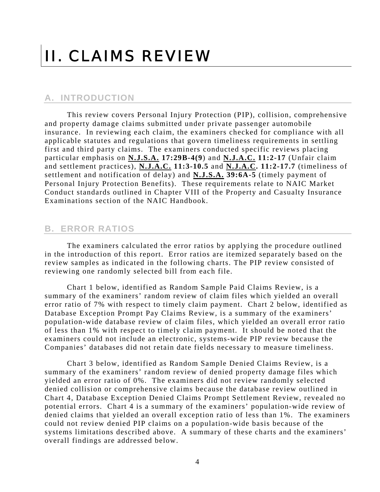# <span id="page-6-0"></span>II. CLAIMS REVIEW

#### **A. INTRODUCTION**

This review covers Personal Injury Protection (PIP), collision, comprehensive and property damage claims submitted under private passenger automobile insurance. In reviewing each claim, the examiners checked for compliance with all applicable statutes and regulations that govern timeliness requirements in settling first and third party claims. The examiners conducted specific reviews placing particular emphasis on **N.J.S.A. 17:29B-4(9**) and **N.J.A.C. 11:2-17** (Unfair claim and settlement practices), **N.J.A.C. 11:3-10.5** and **N.J.A.C. 11:2-17.7** (timeliness of settlement and notification of delay) and **N.J.S.A. 39:6A-5** (timely payment of Personal Injury Protection Benefits). These requirements relate to NAIC Market Conduct standards outlined in Chapter VIII of the Property and Casualty Insurance Examinations section of the NAIC Handbook.

#### **B. ERROR RATIOS**

The examiners calculated the error ratios by applying the procedure outlined in the introduction of this report. Error ratios are itemized separately based on the review samples as indicated in the following charts. The PIP review consisted of reviewing one randomly selected bill from each file.

Chart 1 below, identified as Random Sample Paid Claims Review, is a summary of the examiners' random review of claim files which yielded an overall error ratio of 7% with respect to timely claim payment. Chart 2 below, identified as Database Exception Prompt Pay Claims Review, is a summary of the examiners' population-wide database review of claim files, which yielded an overall error ratio of less than 1% with respect to timely claim payment. It should be noted that the examiners could not include an electronic, systems-wide PIP review because the Companies' databases did not retain date fields necessary to measure timeliness.

Chart 3 below, identified as Random Sample Denied Claims Review, is a summary of the examiners' random review of denied property damage files which yielded an error ratio of 0%. The examiners did not review randomly selected denied collision or comprehensive claims because the database review outlined in Chart 4, Database Exception Denied Claims Prompt Settlement Review, revealed no potential errors. Chart 4 is a summary of the examiners' population-wide review of denied claims that yielded an overall exception ratio of less than 1%. The examiners could not review denied PIP claims on a population-wide basis because of the systems limitations described above. A summary of these charts and the examiners' overall findings are addressed below.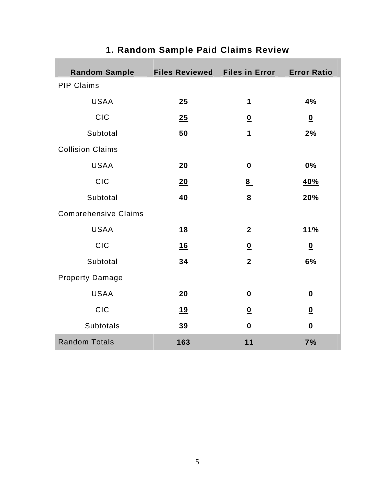| <b>Random Sample</b>        | Files Reviewed Files in Error Error Ratio |                          |                          |
|-----------------------------|-------------------------------------------|--------------------------|--------------------------|
| <b>PIP Claims</b>           |                                           |                          |                          |
| <b>USAA</b>                 | 25                                        | $\mathbf 1$              | 4%                       |
| <b>CIC</b>                  | 25                                        | $\underline{\mathbf{0}}$ | $\underline{\mathbf{0}}$ |
| Subtotal                    | 50                                        | $\mathbf 1$              | 2%                       |
| <b>Collision Claims</b>     |                                           |                          |                          |
| <b>USAA</b>                 | 20                                        | $\mathbf 0$              | 0%                       |
| <b>CIC</b>                  | 20                                        | 8                        | <u>40%</u>               |
| Subtotal                    | 40                                        | 8                        | 20%                      |
| <b>Comprehensive Claims</b> |                                           |                          |                          |
| <b>USAA</b>                 | 18                                        | $\overline{2}$           | 11%                      |
| <b>CIC</b>                  | 16                                        | $\underline{\mathbf{0}}$ | $\underline{\mathbf{0}}$ |
| Subtotal                    | 34                                        | $\overline{2}$           | 6%                       |
| <b>Property Damage</b>      |                                           |                          |                          |
| <b>USAA</b>                 | 20                                        | $\mathbf 0$              | $\boldsymbol{0}$         |
| <b>CIC</b>                  | <u>19</u>                                 | $\underline{\mathbf{0}}$ | $\underline{\mathbf{0}}$ |
| <b>Subtotals</b>            | 39                                        | $\mathbf 0$              | $\mathbf 0$              |
| <b>Random Totals</b>        | 163                                       | 11                       | 7%                       |

## **1. Random Sample Paid Claims Review**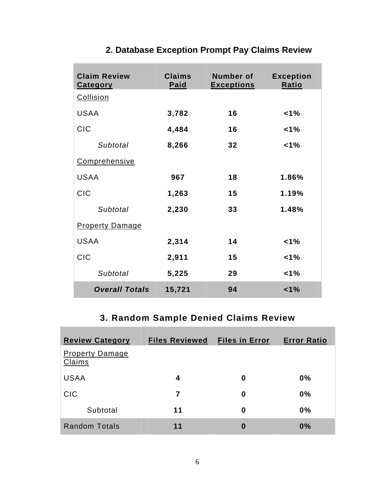| <b>Claim Review</b><br><b>Category</b> | <b>Claims</b><br>Paid | <b>Number of</b><br><b>Exceptions</b> | <b>Exception</b><br>Ratio |
|----------------------------------------|-----------------------|---------------------------------------|---------------------------|
| Collision                              |                       |                                       |                           |
| <b>USAA</b>                            | 3,782                 | 16                                    | 1%                        |
| <b>CIC</b>                             | 4,484                 | 16                                    | 1%                        |
| Subtotal                               | 8,266                 | 32                                    | 1%                        |
| Comprehensive                          |                       |                                       |                           |
| <b>USAA</b>                            | 967                   | 18                                    | 1.86%                     |
| <b>CIC</b>                             | 1,263                 | 15                                    | 1.19%                     |
| Subtotal                               | 2,230                 | 33                                    | 1.48%                     |
| <b>Property Damage</b>                 |                       |                                       |                           |
| <b>USAA</b>                            | 2,314                 | 14                                    | 1%                        |
| <b>CIC</b>                             | 2,911                 | 15                                    | 1%                        |
| Subtotal                               | 5,225                 | 29                                    | $1\%$                     |
| <b>Overall Totals</b>                  | 15,721                | 94                                    | 1%                        |

## **2. Database Exception Prompt Pay Claims Review**

## **3. Random Sample Denied Claims Review**

| <b>Review Category</b>           | <b>Files Reviewed</b> | <b>Files in Error</b> | <b>Error Ratio</b> |
|----------------------------------|-----------------------|-----------------------|--------------------|
| <b>Property Damage</b><br>Claims |                       |                       |                    |
| <b>USAA</b>                      | 4                     | 0                     | 0%                 |
| <b>CIC</b>                       | 7                     | $\bf{0}$              | 0%                 |
| Subtotal                         | 11                    | 0                     | 0%                 |
| <b>Random Totals</b>             | 11                    | 0                     | 0%                 |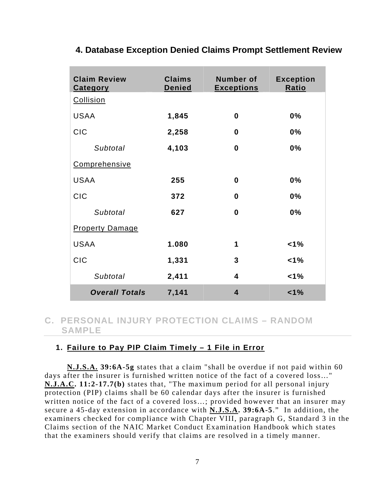| 4. Database Exception Denied Claims Prompt Settlement Review |  |  |  |
|--------------------------------------------------------------|--|--|--|
|                                                              |  |  |  |

| <b>Claim Review</b><br><b>Category</b> | <b>Claims</b><br><b>Denied</b> | <b>Number of</b><br><b>Exceptions</b> | <b>Exception</b><br>Ratio |
|----------------------------------------|--------------------------------|---------------------------------------|---------------------------|
| Collision                              |                                |                                       |                           |
| <b>USAA</b>                            | 1,845                          | $\bf{0}$                              | 0%                        |
| <b>CIC</b>                             | 2,258                          | $\boldsymbol{0}$                      | 0%                        |
| Subtotal                               | 4,103                          | 0                                     | 0%                        |
| Comprehensive                          |                                |                                       |                           |
| <b>USAA</b>                            | 255                            | $\bf{0}$                              | 0%                        |
| <b>CIC</b>                             | 372                            | 0                                     | 0%                        |
| Subtotal                               | 627                            | $\bf{0}$                              | 0%                        |
| <b>Property Damage</b>                 |                                |                                       |                           |
| <b>USAA</b>                            | 1.080                          | 1                                     | 1%                        |
| <b>CIC</b>                             | 1,331                          | 3                                     | 1%                        |
| Subtotal                               | 2,411                          | $\overline{\mathbf{4}}$               | $1\%$                     |
| <b>Overall Totals</b>                  | 7,141                          | $\overline{\mathbf{4}}$               | 1%                        |

### **C. PERSONAL INJURY PROTECTION CLAIMS – RANDOM SAMPLE**

#### **1. Failure to Pay PIP Claim Timely – 1 File in Error**

**N.J.S.A. 39:6A-5g** states that a claim "shall be overdue if not paid within 60 days after the insurer is furnished written notice of the fact of a covered loss…" **N.J.A.C. 11:2-17.7(b)** states that, "The maximum period for all personal injury protection (PIP) claims shall be 60 calendar days after the insurer is furnished written notice of the fact of a covered loss…; provided however that an insurer may secure a 45-day extension in accordance with **N.J.S.A. 39:6A-5**." In addition, the examiners checked for compliance with Chapter VIII, paragraph G, Standard 3 in the Claims section of the NAIC Market Conduct Examination Handbook which states that the examiners should verify that claims are resolved in a timely manner.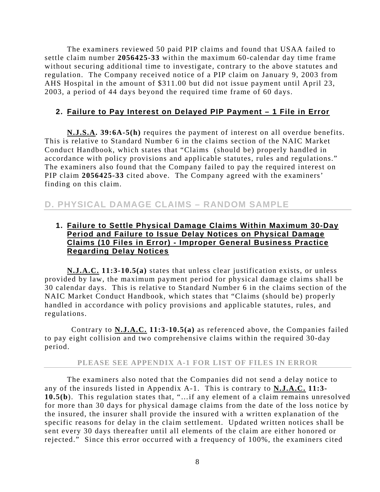<span id="page-10-0"></span> The examiners reviewed 50 paid PIP claims and found that USAA failed to settle claim number **2056425-33** within the maximum 60-calendar day time frame without securing additional time to investigate, contrary to the above statutes and regulation. The Company received notice of a PIP claim on January 9, 2003 from AHS Hospital in the amount of \$311.00 but did not issue payment until April 23, 2003, a period of 44 days beyond the required time frame of 60 days.

#### **2. Failure to Pay Interest on Delayed PIP Payment – 1 File in Error**

**N.J.S.A. 39:6A-5(h)** requires the payment of interest on all overdue benefits. This is relative to Standard Number 6 in the claims section of the NAIC Market Conduct Handbook, which states that "Claims (should be) properly handled in accordance with policy provisions and applicable statutes, rules and regulations." The examiners also found that the Company failed to pay the required interest on PIP claim **2056425-33** cited above. The Company agreed with the examiners' finding on this claim.

#### **D. PHYSICAL DAMAGE CLAIMS – RANDOM SAMPLE**

#### **1. Failure to Settle Physical Damage Claims Within Maximum 30-Day Period and Failure to Issue Delay Notices on Physical Damage Claims (10 Files in Error) - Improper General Business Practice Regarding Delay Notices**

**N.J.A.C. 11:3-10.5(a)** states that unless clear justification exists, or unless provided by law, the maximum payment period for physical damage claims shall be 30 calendar days. This is relative to Standard Number 6 in the claims section of the NAIC Market Conduct Handbook, which states that "Claims (should be) properly handled in accordance with policy provisions and applicable statutes, rules, and regulations.

 Contrary to **N.J.A.C. 11:3-10.5(a)** as referenced above, the Companies failed to pay eight collision and two comprehensive claims within the required 30-day period.

#### **PLEASE SEE APPENDIX A-1 FOR LIST OF FILES IN ERROR**

The examiners also noted that the Companies did not send a delay notice to any of the insureds listed in Appendix A-1. This is contrary to **N.J.A.C. 11:3- 10.5(b**). This regulation states that, "…if any element of a claim remains unresolved for more than 30 days for physical damage claims from the date of the loss notice by the insured, the insurer shall provide the insured with a written explanation of the specific reasons for delay in the claim settlement. Updated written notices shall be sent every 30 days thereafter until all elements of the claim are either honored or rejected." Since this error occurred with a frequency of 100%, the examiners cited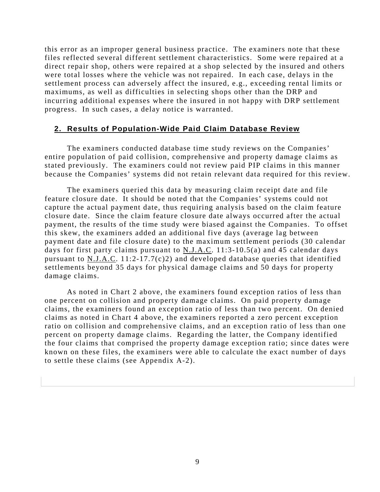this error as an improper general business practice. The examiners note that these files reflected several different settlement characteristics. Some were repaired at a direct repair shop, others were repaired at a shop selected by the insured and others were total losses where the vehicle was not repaired. In each case, delays in the settlement process can adversely affect the insured, e.g., exceeding rental limits or maximums, as well as difficulties in selecting shops other than the DRP and incurring additional expenses where the insured in not happy with DRP settlement progress. In such cases, a delay notice is warranted.

#### **2. Results of Population-Wide Paid Claim Database Review**

The examiners conducted database time study reviews on the Companies' entire population of paid collision, comprehensive and property damage claims as stated previously. The examiners could not review paid PIP claims in this manner because the Companies' systems did not retain relevant data required for this review.

The examiners queried this data by measuring claim receipt date and file feature closure date. It should be noted that the Companies' systems could not capture the actual payment date, thus requiring analysis based on the claim feature closure date. Since the claim feature closure date always occurred after the actual payment, the results of the time study were biased against the Companies. To offset this skew, the examiners added an additional five days (average lag between payment date and file closure date) to the maximum settlement periods (30 calendar days for first party claims pursuant to N.J.A.C. 11:3-10.5(a) and 45 calendar days pursuant to N.J.A.C.  $11:2-17.7(c)2$  and developed database queries that identified settlements beyond 35 days for physical damage claims and 50 days for property damage claims.

As noted in Chart 2 above, the examiners found exception ratios of less than one percent on collision and property damage claims. On paid property damage claims, the examiners found an exception ratio of less than two percent. On denied claims as noted in Chart 4 above, the examiners reported a zero percent exception ratio on collision and comprehensive claims, and an exception ratio of less than one percent on property damage claims. Regarding the latter, the Company identified the four claims that comprised the property damage exception ratio; since dates were known on these files, the examiners were able to calculate the exact number of days to settle these claims (see Appendix A-2).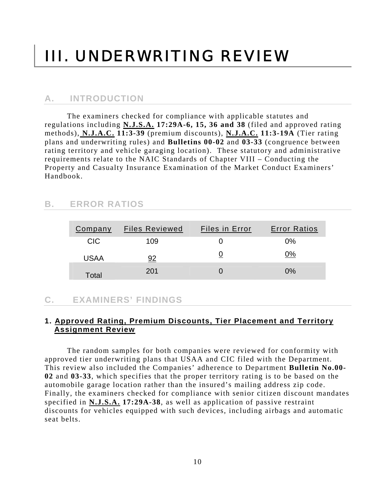# <span id="page-12-0"></span>III. UNDERWRITING REVIEW

### **A. INTRODUCTION**

 The examiners checked for compliance with applicable statutes and regulations including **N.J.S.A. 17:29A-6, 15, 36 and 38** (filed and approved rating methods), **N.J.A.C. 11:3-39** (premium discounts), **N.J.A.C. 11:3-19A** (Tier rating plans and underwriting rules) and **Bulletins 00-02** and **03-33** (congruence between rating territory and vehicle garaging location). These statutory and administrative requirements relate to the NAIC Standards of Chapter VIII – Conducting the Property and Casualty Insurance Examination of the Market Conduct Examiners' Handbook.

### **B. ERROR RATIOS**

| <b>Company</b> | <b>Files Reviewed</b> | <b>Files in Error</b> | <b>Error Ratios</b> |
|----------------|-----------------------|-----------------------|---------------------|
| <b>CIC</b>     | 109                   |                       | $0\%$               |
| <b>USAA</b>    |                       |                       | ን%                  |
| Total          | 201                   |                       | $0\%$               |

### **C. EXAMINERS' FINDINGS**

#### **1. Approved Rating, Premium Discounts, Tier Placement and Territory Assignment Review**

The random samples for both companies were reviewed for conformity with approved tier underwriting plans that USAA and CIC filed with the Department. This review also included the Companies' adherence to Department **Bulletin No.00- 02** and **03-33**, which specifies that the proper territory rating is to be based on the automobile garage location rather than the insured's mailing address zip code. Finally, the examiners checked for compliance with senior citizen discount mandates specified in **N.J.S.A. 17:29A-38**, as well as application of passive restraint discounts for vehicles equipped with such devices, including airbags and automatic seat belts.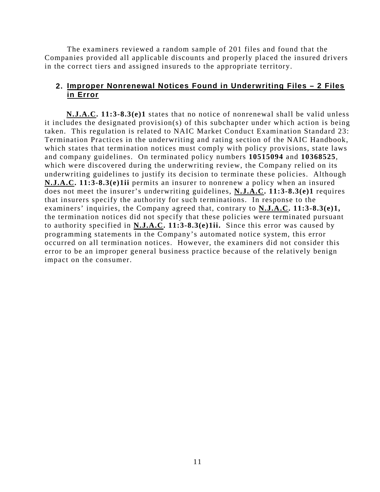The examiners reviewed a random sample of 201 files and found that the Companies provided all applicable discounts and properly placed the insured drivers in the correct tiers and assigned insureds to the appropriate territory.

#### **2. Improper Nonrenewal Notices Found in Underwriting Files – 2 Files in Error**

**N.J.A.C. 11:3-8.3(e)1** states that no notice of nonrenewal shall be valid unless it includes the designated provision(s) of this subchapter under which action is being taken. This regulation is related to NAIC Market Conduct Examination Standard 23: Termination Practices in the underwriting and rating section of the NAIC Handbook, which states that termination notices must comply with policy provisions, state laws and company guidelines. On terminated policy numbers **10515094** and **10368525**, which were discovered during the underwriting review, the Company relied on its underwriting guidelines to justify its decision to terminate these policies. Although **N.J.A.C. 11:3-8.3(e)1ii** permits an insurer to nonrenew a policy when an insured does not meet the insurer's underwriting guidelines, **N.J.A.C. 11:3-8.3(e)1** requires that insurers specify the authority for such terminations. In response to the examiners' inquiries, the Company agreed that, contrary to **N.J.A.C. 11:3-8.3(e)1,**  the termination notices did not specify that these policies were terminated pursuant to authority specified in **N.J.A.C. 11:3-8.3(e)1ii.** Since this error was caused by programming statements in the Company's automated notice system, this error occurred on all termination notices. However, the examiners did not consider this error to be an improper general business practice because of the relatively benign impact on the consumer.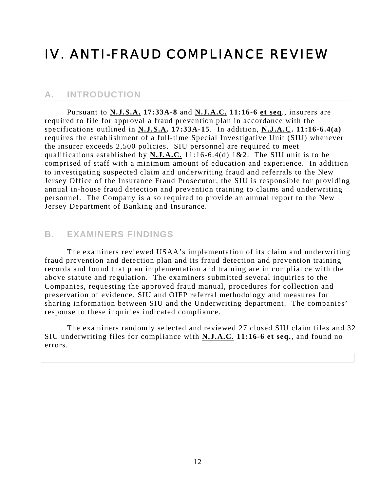# <span id="page-14-0"></span>IV. ANTI-FRAUD COMPLIANCE REVIEW

#### **A. INTRODUCTION**

 Pursuant to **N.J.S.A. 17:33A-8** and **N.J.A.C. 11:16-6 et seq**., insurers are required to file for approval a fraud prevention plan in accordance with the specifications outlined in **N.J.S.A. 17:33A-15**. In addition, **N.J.A.C. 11:16-6.4(a)** requires the establishment of a full-time Special Investigative Unit (SIU) whenever the insurer exceeds 2,500 policies. SIU personnel are required to meet qualifications established by **N.J.A.C.** 11:16-6.4(d) 1&2. The SIU unit is to be comprised of staff with a minimum amount of education and experience. In addition to investigating suspected claim and underwriting fraud and referrals to the New Jersey Office of the Insurance Fraud Prosecutor, the SIU is responsible for providing annual in-house fraud detection and prevention training to claims and underwriting personnel. The Company is also required to provide an annual report to the New Jersey Department of Banking and Insurance.

#### **B. EXAMINERS FINDINGS**

The examiners reviewed USAA's implementation of its claim and underwriting fraud prevention and detection plan and its fraud detection and prevention training records and found that plan implementation and training are in compliance with the above statute and regulation. The examiners submitted several inquiries to the Companies, requesting the approved fraud manual, procedures for collection and preservation of evidence, SIU and OIFP referral methodology and measures for sharing information between SIU and the Underwriting department. The companies' response to these inquiries indicated compliance.

The examiners randomly selected and reviewed 27 closed SIU claim files and 32 SIU underwriting files for compliance with **N.J.A.C. 11:16-6 et seq.**, and found no errors.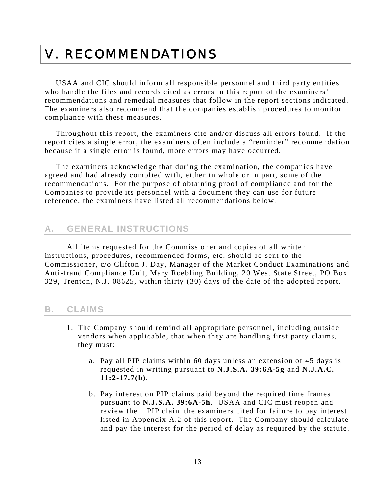# <span id="page-15-0"></span>V. RECOMMENDATIONS

USAA and CIC should inform all responsible personnel and third party entities who handle the files and records cited as errors in this report of the examiners' recommendations and remedial measures that follow in the report sections indicated. The examiners also recommend that the companies establish procedures to monitor compliance with these measures.

Throughout this report, the examiners cite and/or discuss all errors found. If the report cites a single error, the examiners often include a "reminder" recommendation because if a single error is found, more errors may have occurred.

The examiners acknowledge that during the examination, the companies have agreed and had already complied with, either in whole or in part, some of the recommendations. For the purpose of obtaining proof of compliance and for the Companies to provide its personnel with a document they can use for future reference, the examiners have listed all recommendations below.

#### **A. GENERAL INSTRUCTIONS**

All items requested for the Commissioner and copies of all written instructions, procedures, recommended forms, etc. should be sent to the Commissioner, c/o Clifton J. Day, Manager of the Market Conduct Examinations and Anti-fraud Compliance Unit, Mary Roebling Building, 20 West State Street, PO Box 329, Trenton, N.J. 08625, within thirty (30) days of the date of the adopted report.

#### **B. CLAIMS**

- 1. The Company should remind all appropriate personnel, including outside vendors when applicable, that when they are handling first party claims, they must:
	- a. Pay all PIP claims within 60 days unless an extension of 45 days is requested in writing pursuant to **N.J.S.A. 39:6A-5g** and **N.J.A.C. 11:2-17.7(b)**.
	- b. Pay interest on PIP claims paid beyond the required time frames pursuant to **N.J.S.A. 39:6A-5h**. USAA and CIC must reopen and review the 1 PIP claim the examiners cited for failure to pay interest listed in Appendix A.2 of this report. The Company should calculate and pay the interest for the period of delay as required by the statute.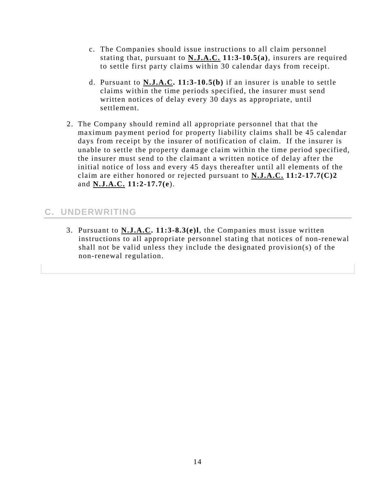- <span id="page-16-0"></span>c. The Companies should issue instructions to all claim personnel stating that, pursuant to **N.J.A.C. 11:3-10.5(a)**, insurers are required to settle first party claims within 30 calendar days from receipt.
- d. Pursuant to **N.J.A.C. 11:3-10.5(b)** if an insurer is unable to settle claims within the time periods specified, the insurer must send written notices of delay every 30 days as appropriate, until settlement.
- 2. The Company should remind all appropriate personnel that that the maximum payment period for property liability claims shall be 45 calendar days from receipt by the insurer of notification of claim. If the insurer is unable to settle the property damage claim within the time period specified, the insurer must send to the claimant a written notice of delay after the initial notice of loss and every 45 days thereafter until all elements of the claim are either honored or rejected pursuant to **N.J.A.C. 11:2-17.7(C)2** and **N.J.A.C. 11:2-17.7(e**).

## **C. UNDERWRITING**

3. Pursuant to **N.J.A.C. 11:3-8.3(e)l**, the Companies must issue written instructions to all appropriate personnel stating that notices of non-renewal shall not be valid unless they include the designated provision(s) of the non-renewal regulation.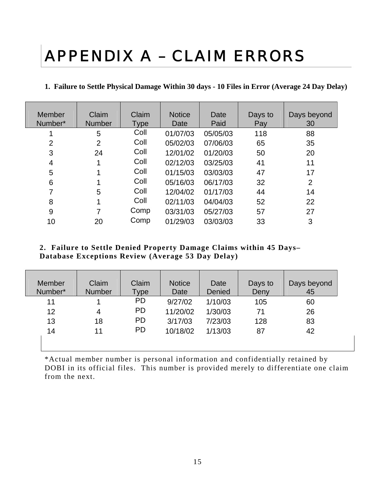# <span id="page-17-0"></span>APPENDIX A – CLAIM ERRORS

#### **1. Failure to Settle Physical Damage Within 30 days - 10 Files in Error (Average 24 Day Delay)**

| <b>Member</b><br>Number* | Claim<br><b>Number</b> | Claim<br>Type | <b>Notice</b><br>Date | Date<br>Paid | Days to<br>Pay | Days beyond<br>30 |
|--------------------------|------------------------|---------------|-----------------------|--------------|----------------|-------------------|
|                          | 5                      | Coll          | 01/07/03              | 05/05/03     | 118            | 88                |
| $\overline{2}$           | $\overline{2}$         | Coll          | 05/02/03              | 07/06/03     | 65             | 35                |
| 3                        | 24                     | Coll          | 12/01/02              | 01/20/03     | 50             | 20                |
| 4                        |                        | Coll          | 02/12/03              | 03/25/03     | 41             | 11                |
| 5                        |                        | Coll          | 01/15/03              | 03/03/03     | 47             | 17                |
| 6                        |                        | Coll          | 05/16/03              | 06/17/03     | 32             | $\overline{2}$    |
|                          | 5                      | Coll          | 12/04/02              | 01/17/03     | 44             | 14                |
| 8                        |                        | Coll          | 02/11/03              | 04/04/03     | 52             | 22                |
| 9                        |                        | Comp          | 03/31/03              | 05/27/03     | 57             | 27                |
| 10                       | 20                     | Comp          | 01/29/03              | 03/03/03     | 33             | 3                 |

#### **2. Failure to Settle Denied Property Damage Claims within 45 Days– Database Exceptions Review (Average 53 Day Delay)**

| Member<br>Number* | Claim<br><b>Number</b> | Claim<br>Type | <b>Notice</b><br>Date | Date<br>Denied | Days to<br>Deny | Days beyond<br>45 |
|-------------------|------------------------|---------------|-----------------------|----------------|-----------------|-------------------|
| 11                |                        | <b>PD</b>     | 9/27/02               | 1/10/03        | 105             | 60                |
| 12                | 4                      | <b>PD</b>     | 11/20/02              | 1/30/03        | 71              | 26                |
| 13                | 18                     | <b>PD</b>     | 3/17/03               | 7/23/03        | 128             | 83                |
| 14                | 11                     | <b>PD</b>     | 10/18/02              | 1/13/03        | 87              | 42                |
|                   |                        |               |                       |                |                 |                   |

\*Actual member number is personal information and confidentially retained by DOBI in its official files. This number is provided merely to differentiate one claim from the next.